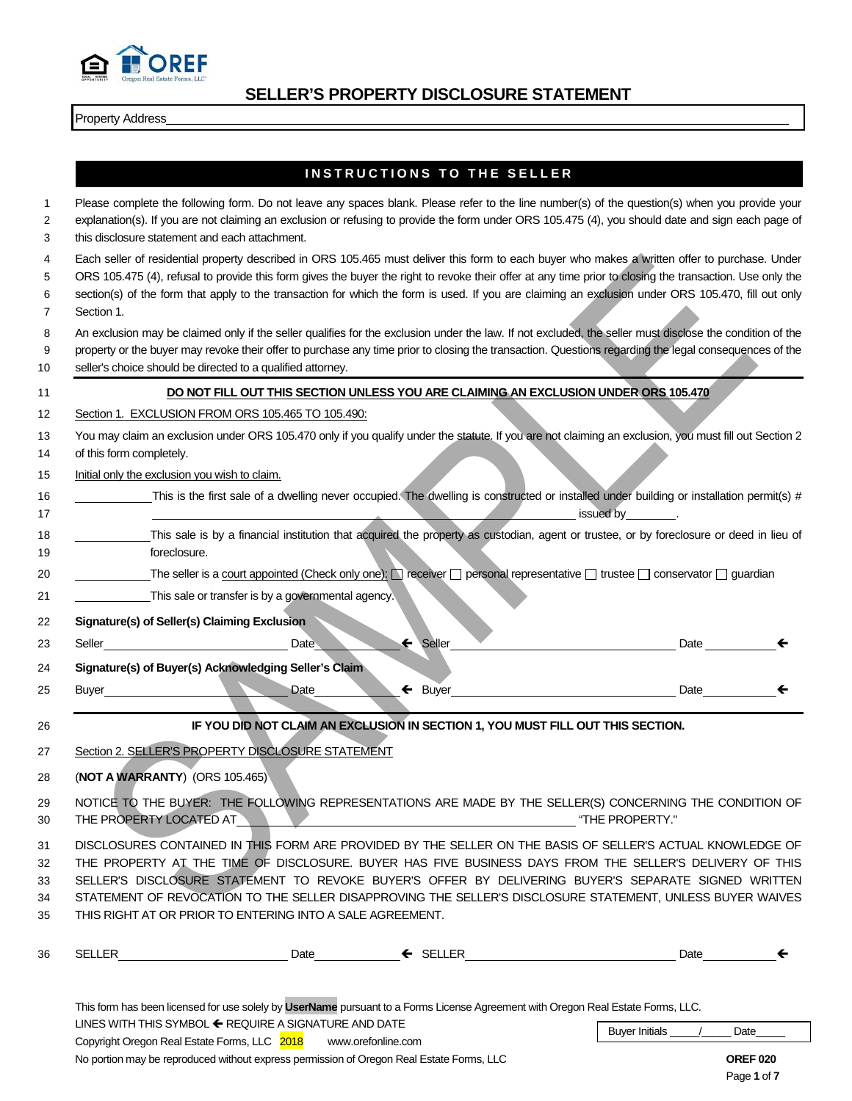

Property Address\_

#### **INSTRUCTIONS TO THE SELLER**

| $\mathbf{1}$<br>2<br>3 | Please complete the following form. Do not leave any spaces blank. Please refer to the line number(s) of the question(s) when you provide your<br>explanation(s). If you are not claiming an exclusion or refusing to provide the form under ORS 105.475 (4), you should date and sign each page of<br>this disclosure statement and each attachment.                                                                                                                          |
|------------------------|--------------------------------------------------------------------------------------------------------------------------------------------------------------------------------------------------------------------------------------------------------------------------------------------------------------------------------------------------------------------------------------------------------------------------------------------------------------------------------|
| 4<br>5<br>6<br>7       | Each seller of residential property described in ORS 105.465 must deliver this form to each buyer who makes a written offer to purchase. Under<br>ORS 105.475 (4), refusal to provide this form gives the buyer the right to revoke their offer at any time prior to closing the transaction. Use only the<br>section(s) of the form that apply to the transaction for which the form is used. If you are claiming an exclusion under ORS 105.470, fill out only<br>Section 1. |
| 8<br>9<br>10           | An exclusion may be claimed only if the seller qualifies for the exclusion under the law. If not excluded, the seller must disclose the condition of the<br>property or the buyer may revoke their offer to purchase any time prior to closing the transaction. Questions regarding the legal consequences of the<br>seller's choice should be directed to a qualified attorney.                                                                                               |
| 11                     | DO NOT FILL OUT THIS SECTION UNLESS YOU ARE CLAIMING AN EXCLUSION UNDER ORS 105.470                                                                                                                                                                                                                                                                                                                                                                                            |
| 12                     | Section 1. EXCLUSION FROM ORS 105.465 TO 105.490:                                                                                                                                                                                                                                                                                                                                                                                                                              |
| 13<br>14               | You may claim an exclusion under ORS 105.470 only if you qualify under the statute. If you are not claiming an exclusion, you must fill out Section 2<br>of this form completely.                                                                                                                                                                                                                                                                                              |
| 15                     | Initial only the exclusion you wish to claim.                                                                                                                                                                                                                                                                                                                                                                                                                                  |
| 16<br>17               | This is the first sale of a dwelling never occupied. The dwelling is constructed or installed under building or installation permit(s) #<br>issued by                                                                                                                                                                                                                                                                                                                          |
| 18<br>19               | This sale is by a financial institution that acquired the property as custodian, agent or trustee, or by foreclosure or deed in lieu of<br>foreclosure.                                                                                                                                                                                                                                                                                                                        |
| 20                     | The seller is a court appointed (Check only one): $\Box$ receiver $\Box$ personal representative $\Box$ trustee $\Box$ conservator $\Box$ guardian                                                                                                                                                                                                                                                                                                                             |
| 21                     | This sale or transfer is by a governmental agency.                                                                                                                                                                                                                                                                                                                                                                                                                             |
| 22                     | Signature(s) of Seller(s) Claiming Exclusion                                                                                                                                                                                                                                                                                                                                                                                                                                   |
| 23                     | $\leftarrow$ Seller<br>Date<br>Seller<br>Date                                                                                                                                                                                                                                                                                                                                                                                                                                  |
| 24                     | Signature(s) of Buyer(s) Acknowledging Seller's Claim                                                                                                                                                                                                                                                                                                                                                                                                                          |
| 25                     | $\leftarrow$ Buyer<br>Date $\leftarrow$<br>Date<br>Buyer_______________                                                                                                                                                                                                                                                                                                                                                                                                        |
| 26                     | IF YOU DID NOT CLAIM AN EXCLUSION IN SECTION 1, YOU MUST FILL OUT THIS SECTION.                                                                                                                                                                                                                                                                                                                                                                                                |
| 27                     | Section 2. SELLER'S PROPERTY DISCLOSURE STATEMENT                                                                                                                                                                                                                                                                                                                                                                                                                              |
| 28                     | (NOT A WARRANTY) (ORS 105.465)                                                                                                                                                                                                                                                                                                                                                                                                                                                 |
| 29<br>30               | NOTICE TO THE BUYER: THE FOLLOWING REPRESENTATIONS ARE MADE BY THE SELLER(S) CONCERNING THE CONDITION OF<br>THE PROPERTY LOCATED AT A MANUSCRIPTION OF THE PROPERTY."                                                                                                                                                                                                                                                                                                          |
| 31                     | DISCLOSURES CONTAINED IN THIS FORM ARE PROVIDED BY THE SELLER ON THE BASIS OF SELLER'S ACTUAL KNOWLEDGE OF                                                                                                                                                                                                                                                                                                                                                                     |
| 32                     | THE PROPERTY AT THE TIME OF DISCLOSURE. BUYER HAS FIVE BUSINESS DAYS FROM THE SELLER'S DELIVERY OF THIS                                                                                                                                                                                                                                                                                                                                                                        |
| 33                     | SELLER'S DISCLOSURE STATEMENT TO REVOKE BUYER'S OFFER BY DELIVERING BUYER'S SEPARATE SIGNED WRITTEN                                                                                                                                                                                                                                                                                                                                                                            |
| 34                     | STATEMENT OF REVOCATION TO THE SELLER DISAPPROVING THE SELLER'S DISCLOSURE STATEMENT, UNLESS BUYER WAIVES                                                                                                                                                                                                                                                                                                                                                                      |
| 35                     | THIS RIGHT AT OR PRIOR TO ENTERING INTO A SALE AGREEMENT.                                                                                                                                                                                                                                                                                                                                                                                                                      |
| 36                     | Date $\leftarrow$                                                                                                                                                                                                                                                                                                                                                                                                                                                              |
|                        | This form has been licensed for use solely by UserName pursuant to a Forms License Agreement with Oregon Real Estate Forms, LLC.                                                                                                                                                                                                                                                                                                                                               |
|                        | LINES WITH THIS SYMBOL ← REQUIRE A SIGNATURE AND DATE<br>Buyer Initials ________________ Date_______                                                                                                                                                                                                                                                                                                                                                                           |
|                        | Copyright Oregon Real Estate Forms, LLC 2018 www.orefonline.com                                                                                                                                                                                                                                                                                                                                                                                                                |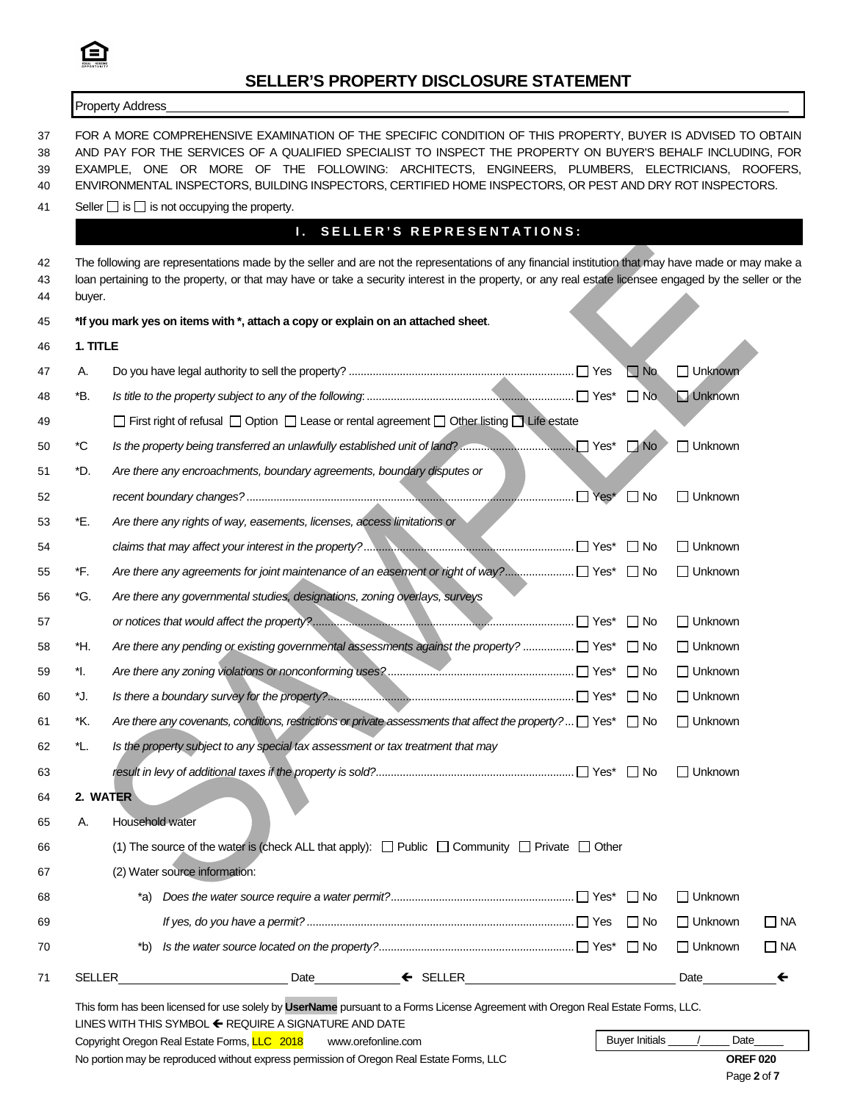

|                      |          | Property Address                                                                                                                                                                                                                                                                                                                                                                                                                          |                 |                 |           |
|----------------------|----------|-------------------------------------------------------------------------------------------------------------------------------------------------------------------------------------------------------------------------------------------------------------------------------------------------------------------------------------------------------------------------------------------------------------------------------------------|-----------------|-----------------|-----------|
| 37<br>38<br>39<br>40 |          | FOR A MORE COMPREHENSIVE EXAMINATION OF THE SPECIFIC CONDITION OF THIS PROPERTY, BUYER IS ADVISED TO OBTAIN<br>AND PAY FOR THE SERVICES OF A QUALIFIED SPECIALIST TO INSPECT THE PROPERTY ON BUYER'S BEHALF INCLUDING, FOR<br>EXAMPLE, ONE OR MORE OF THE FOLLOWING: ARCHITECTS, ENGINEERS, PLUMBERS, ELECTRICIANS, ROOFERS,<br>ENVIRONMENTAL INSPECTORS, BUILDING INSPECTORS, CERTIFIED HOME INSPECTORS, OR PEST AND DRY ROT INSPECTORS. |                 |                 |           |
| 41                   |          | Seller $\Box$ is $\Box$ is not occupying the property.                                                                                                                                                                                                                                                                                                                                                                                    |                 |                 |           |
|                      |          | I. SELLER'S REPRESENTATIONS:                                                                                                                                                                                                                                                                                                                                                                                                              |                 |                 |           |
| 42<br>43<br>44       | buyer.   | The following are representations made by the seller and are not the representations of any financial institution that may have made or may make a<br>loan pertaining to the property, or that may have or take a security interest in the property, or any real estate licensee engaged by the seller or the                                                                                                                             |                 |                 |           |
| 45                   |          | *If you mark yes on items with *, attach a copy or explain on an attached sheet.                                                                                                                                                                                                                                                                                                                                                          |                 |                 |           |
| 46                   | 1. TITLE |                                                                                                                                                                                                                                                                                                                                                                                                                                           |                 |                 |           |
| 47                   | А.       |                                                                                                                                                                                                                                                                                                                                                                                                                                           | $\Box$ No       | □ Unknown       |           |
| 48                   | *B.      |                                                                                                                                                                                                                                                                                                                                                                                                                                           | $\Box$ No       | Unknown         |           |
| 49                   |          | □ First right of refusal □ Option □ Lease or rental agreement □ Other listing □ Life estate                                                                                                                                                                                                                                                                                                                                               |                 |                 |           |
| 50                   | *C       |                                                                                                                                                                                                                                                                                                                                                                                                                                           |                 | $\Box$ Unknown  |           |
| 51                   | *D.      | Are there any encroachments, boundary agreements, boundary disputes or                                                                                                                                                                                                                                                                                                                                                                    |                 |                 |           |
| 52                   |          |                                                                                                                                                                                                                                                                                                                                                                                                                                           | $\Box$ No       | $\Box$ Unknown  |           |
| 53                   | *E.      | Are there any rights of way, easements, licenses, access limitations or                                                                                                                                                                                                                                                                                                                                                                   |                 |                 |           |
| 54                   |          |                                                                                                                                                                                                                                                                                                                                                                                                                                           |                 | $\Box$ Unknown  |           |
| 55                   | *F.      |                                                                                                                                                                                                                                                                                                                                                                                                                                           |                 | $\Box$ Unknown  |           |
| 56                   | *G.      | Are there any governmental studies, designations, zoning overlays, surveys                                                                                                                                                                                                                                                                                                                                                                |                 |                 |           |
| 57                   |          |                                                                                                                                                                                                                                                                                                                                                                                                                                           |                 | $\Box$ Unknown  |           |
| 58                   | *H.      | Are there any pending or existing governmental assessments against the property?  ]Yes* □ No                                                                                                                                                                                                                                                                                                                                              |                 | $\Box$ Unknown  |           |
| 59                   | *I.      |                                                                                                                                                                                                                                                                                                                                                                                                                                           |                 | $\Box$ Unknown  |           |
| 60                   | *J.      |                                                                                                                                                                                                                                                                                                                                                                                                                                           | $\Box$ No       | $\Box$ Unknown  |           |
| 61                   | *K.      | Are there any covenants, conditions, restrictions or private assessments that affect the property? $\Box$ Yes* $\Box$ No                                                                                                                                                                                                                                                                                                                  |                 | $\Box$ Unknown  |           |
| 62                   | *∟.      | Is the property subject to any special tax assessment or tax treatment that may                                                                                                                                                                                                                                                                                                                                                           |                 |                 |           |
| 63                   |          |                                                                                                                                                                                                                                                                                                                                                                                                                                           |                 | $\Box$ Unknown  |           |
| 64                   | 2. WATER |                                                                                                                                                                                                                                                                                                                                                                                                                                           |                 |                 |           |
| 65                   | А.       | Household water                                                                                                                                                                                                                                                                                                                                                                                                                           |                 |                 |           |
| 66                   |          | (1) The source of the water is (check ALL that apply): $\Box$ Public $\Box$ Community $\Box$ Private $\Box$ Other                                                                                                                                                                                                                                                                                                                         |                 |                 |           |
| 67                   |          | (2) Water source information:                                                                                                                                                                                                                                                                                                                                                                                                             |                 |                 |           |
| 68                   |          | *a)                                                                                                                                                                                                                                                                                                                                                                                                                                       |                 | $\Box$ Unknown  |           |
| 69                   |          |                                                                                                                                                                                                                                                                                                                                                                                                                                           | ∣ I No          | $\Box$ Unknown  | $\Box$ NA |
| 70                   |          | *b)                                                                                                                                                                                                                                                                                                                                                                                                                                       |                 | $\Box$ Unknown  | $\Box$ NA |
| 71                   | SELLER   | Date <u> and SELLER Contains and SELLER</u> contains a set of the SELLER contains a set of the SELLER contains a set of the SELLER contains a set of the SELLER contains a set of the SELLER                                                                                                                                                                                                                                              |                 | Date            | ←         |
|                      |          | This form has been licensed for use solely by UserName pursuant to a Forms License Agreement with Oregon Real Estate Forms, LLC.<br>LINES WITH THIS SYMBOL ← REQUIRE A SIGNATURE AND DATE                                                                                                                                                                                                                                                 |                 |                 |           |
|                      |          | Copyright Oregon Real Estate Forms, LLC 2018<br>www.orefonline.com                                                                                                                                                                                                                                                                                                                                                                        | Buyer Initials_ | Date            |           |
|                      |          | No portion may be reproduced without express permission of Oregon Real Estate Forms, LLC                                                                                                                                                                                                                                                                                                                                                  |                 | <b>OREF 020</b> |           |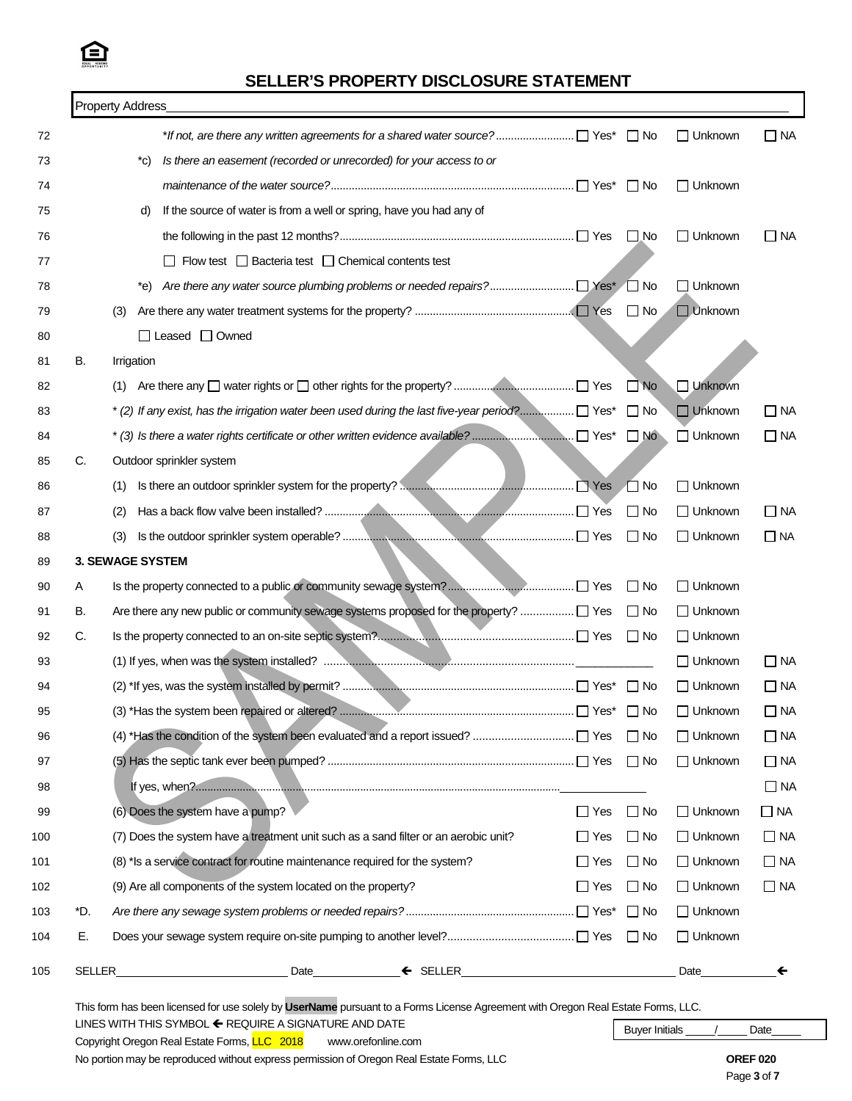

|     | Property Address                                                                       |            |           |                   |           |
|-----|----------------------------------------------------------------------------------------|------------|-----------|-------------------|-----------|
|     |                                                                                        |            |           | $\Box$ Unknown    | $\Box$ NA |
|     | Is there an easement (recorded or unrecorded) for your access to or<br>*c)             |            |           |                   |           |
|     |                                                                                        |            |           | $\Box$ Unknown    |           |
|     | If the source of water is from a well or spring, have you had any of<br>d)             |            |           |                   |           |
|     |                                                                                        |            | $\Box$ No | $\Box$ Unknown    | $\Box$ NA |
|     | $\Box$ Flow test $\Box$ Bacteria test $\Box$ Chemical contents test                    |            |           |                   |           |
|     | *e)                                                                                    |            |           | $\Box$ Unknown    |           |
|     | (3)                                                                                    |            | $\Box$ No | $\Box$ Unknown    |           |
|     | $\Box$ Leased $\Box$ Owned                                                             |            |           |                   |           |
| В.  | Irrigation                                                                             |            |           |                   |           |
|     |                                                                                        |            | $\Box$ No | $\Box$ Unknown    |           |
|     |                                                                                        |            | $\Box$ No | $\Box$ Unknown    | $\Box$ NA |
|     |                                                                                        |            |           | $\Box$ Unknown    | $\Box$ NA |
| C.  | Outdoor sprinkler system                                                               |            |           |                   |           |
|     | (1)                                                                                    |            |           | $\Box$ Unknown    |           |
|     | (2)                                                                                    |            | l INo     | $\Box$ Unknown    | $\Box$ NA |
|     | (3)                                                                                    |            | l INo     | $\Box$ Unknown    | $\Box$ NA |
|     | 3. SEWAGE SYSTEM                                                                       |            |           |                   |           |
| A   |                                                                                        |            | l INo     | $\Box$ Unknown    |           |
| В.  | Are there any new public or community sewage systems proposed for the property?  T Yes |            | l INo     | $\Box$ Unknown    |           |
| C.  |                                                                                        |            | $\Box$ No | $\Box$ Unknown    |           |
|     |                                                                                        |            |           | $\Box$ Unknown    | $\Box$ NA |
|     |                                                                                        |            | $\Box$ No | $\Box$ Unknown    | $\Box$ NA |
|     |                                                                                        |            |           | $\Box$ Unknown    | $\Box$ NA |
|     |                                                                                        |            | $\Box$ No | $\Box$ Unknown    | $\Box$ NA |
|     |                                                                                        |            | $\Box$ No | $\Box$ Unknown    | $\Box$ NA |
|     |                                                                                        |            |           |                   | $\Box$ NA |
|     | (6) Does the system have a pump?                                                       | $\Box$ Yes | $\Box$ No | $\Box$ Unknown    | $\Box$ NA |
|     | (7) Does the system have a treatment unit such as a sand filter or an aerobic unit?    | $\Box$ Yes | $\Box$ No | $\Box$ Unknown    | $\Box$ NA |
|     | (8) *Is a service contract for routine maintenance required for the system?            | $\Box$ Yes | $\Box$ No | $\Box$ Unknown    | $\Box$ NA |
|     | (9) Are all components of the system located on the property?                          | $\Box$ Yes | $\Box$ No | $\Box$ Unknown    | $\Box$ NA |
| *D. |                                                                                        |            | $\Box$ No | $\Box$ Unknown    |           |
| Е.  |                                                                                        |            | $\Box$ No | $\Box$ Unknown    |           |
|     | SELLER <b>SELLER</b>                                                                   |            |           | Date $\leftarrow$ |           |

This form has been licensed for use solely by **UserName** pursuant to a Forms License Agreement with Oregon Real Estate Forms, LLC. LINES WITH THIS SYMBOL REQUIRE A SIGNATURE AND DATE

| LINES WITH THIS SYMBOL TREQUIRE A SIGNATURE AND DATE. |  |                    |
|-------------------------------------------------------|--|--------------------|
| Copyright Oregon Real Estate Forms, LLC 2018          |  | www.orefonline.com |

Buyer Initials \_\_\_\_\_\_/\_\_\_\_\_\_ Date\_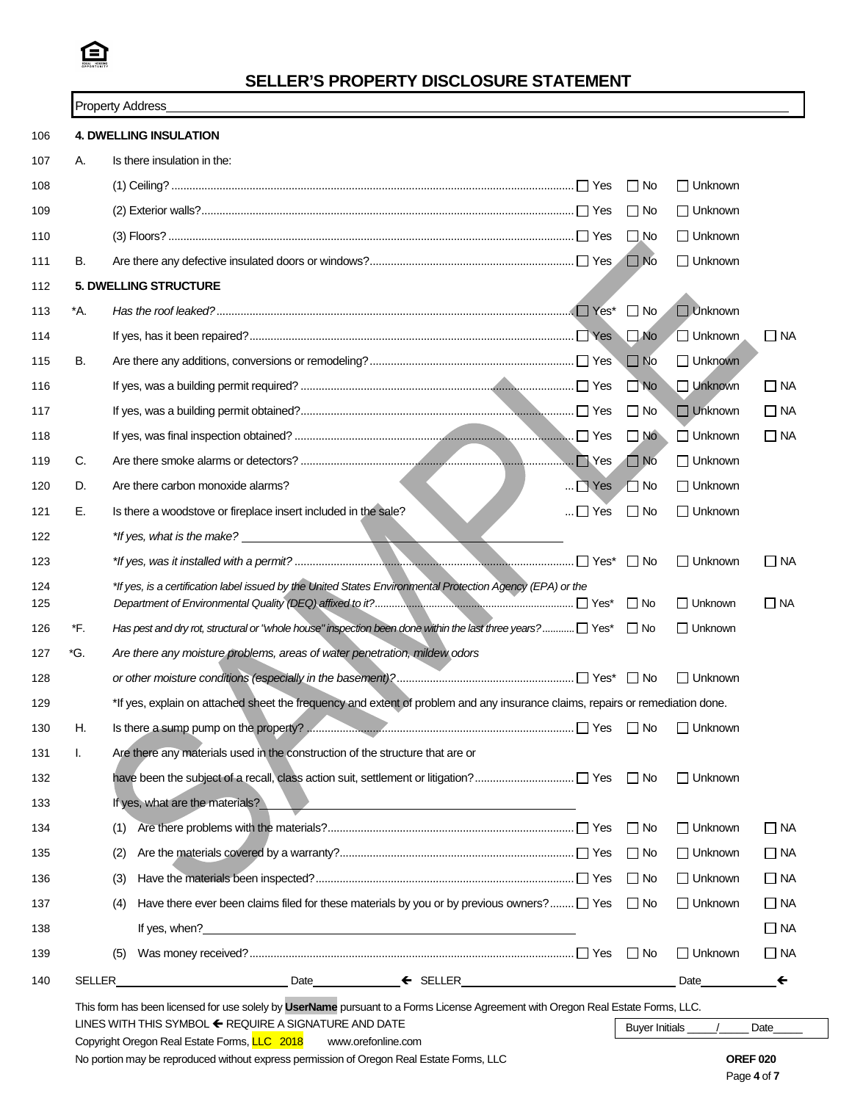

| <b>Property Address</b> |  |
|-------------------------|--|
|-------------------------|--|

| 106        |               |     | <b>4. DWELLING INSULATION</b>                                                                                                    |           |                                                                                                                                                                                                                                |              |
|------------|---------------|-----|----------------------------------------------------------------------------------------------------------------------------------|-----------|--------------------------------------------------------------------------------------------------------------------------------------------------------------------------------------------------------------------------------|--------------|
| 107        | А.            |     | Is there insulation in the:                                                                                                      |           |                                                                                                                                                                                                                                |              |
| 108        |               |     |                                                                                                                                  | $\Box$ No | $\Box$ Unknown                                                                                                                                                                                                                 |              |
| 109        |               |     |                                                                                                                                  | $\Box$ No | $\Box$ Unknown                                                                                                                                                                                                                 |              |
| 110        |               |     |                                                                                                                                  | $\Box$ No | $\Box$ Unknown                                                                                                                                                                                                                 |              |
| 111        | В.            |     |                                                                                                                                  | $\Box$ No | $\Box$ Unknown                                                                                                                                                                                                                 |              |
| 112        |               |     | <b>5. DWELLING STRUCTURE</b>                                                                                                     |           |                                                                                                                                                                                                                                |              |
| 113        | *A.           |     |                                                                                                                                  | $\Box$ No | $\Box$ Unknown                                                                                                                                                                                                                 |              |
| 114        |               |     |                                                                                                                                  | $\Box$ No | $\Box$ Unknown                                                                                                                                                                                                                 | $\Box$ NA    |
| 115        | В.            |     |                                                                                                                                  | $\Box$ No | $\Box$ Unknown                                                                                                                                                                                                                 |              |
| 116        |               |     |                                                                                                                                  | $\Box$ No | □ Unknown                                                                                                                                                                                                                      | $\Box$ NA    |
| 117        |               |     |                                                                                                                                  | $\Box$ No | $\Box$ Unknown                                                                                                                                                                                                                 | $\Box$ NA    |
| 118        |               |     |                                                                                                                                  | $\Box$ No | $\Box$ Unknown                                                                                                                                                                                                                 | $\Box$ NA    |
| 119        | C.            |     |                                                                                                                                  | $\Box$ No | $\Box$ Unknown                                                                                                                                                                                                                 |              |
| 120        | D.            |     | Are there carbon monoxide alarms?<br>$\ldots$ $\Box$ Yes                                                                         | $\Box$ No | $\Box$ Unknown                                                                                                                                                                                                                 |              |
| 121        | Е.            |     | Is there a woodstove or fireplace insert included in the sale?<br>$\ldots \Box$ Yes                                              | $\Box$ No | $\Box$ Unknown                                                                                                                                                                                                                 |              |
| 122        |               |     | *If yes, what is the make?<br><u> and</u> the make?                                                                              |           |                                                                                                                                                                                                                                |              |
| 123        |               |     |                                                                                                                                  | $\Box$ No | $\Box$ Unknown                                                                                                                                                                                                                 | $\Box$ NA    |
| 124<br>125 |               |     | *If yes, is a certification label issued by the United States Environmental Protection Agency (EPA) or the                       | $\Box$ No | $\Box$ Unknown                                                                                                                                                                                                                 | $\Box$ NA    |
| 126        | *F.           |     | Has pest and dry rot, structural or "whole house" inspection been done within the last three years? [ Yes*                       | $\Box$ No | $\Box$ Unknown                                                                                                                                                                                                                 |              |
| 127        | *G.           |     | Are there any moisture problems, areas of water penetration, mildew odors                                                        |           |                                                                                                                                                                                                                                |              |
| 128        |               |     |                                                                                                                                  |           | $\Box$ Unknown                                                                                                                                                                                                                 |              |
| 129        |               |     | *If yes, explain on attached sheet the frequency and extent of problem and any insurance claims, repairs or remediation done.    |           |                                                                                                                                                                                                                                |              |
| 130        | Н.            |     |                                                                                                                                  | $\Box$ No | $\Box$ Unknown                                                                                                                                                                                                                 |              |
| 131        | I.            |     | Are there any materials used in the construction of the structure that are or                                                    |           |                                                                                                                                                                                                                                |              |
| 132        |               |     |                                                                                                                                  |           | $\Box$ Unknown                                                                                                                                                                                                                 |              |
| 133        |               |     | If yes, what are the materials?<br><u> 1980 - Johann Barbara, martxa alemaniar amerikan a</u>                                    |           |                                                                                                                                                                                                                                |              |
| 134        |               | (1) |                                                                                                                                  | $\Box$ No | $\Box$ Unknown                                                                                                                                                                                                                 | $\Box$ NA    |
| 135        |               | (2) |                                                                                                                                  | $\Box$ No | $\Box$ Unknown                                                                                                                                                                                                                 | $\Box$ NA    |
| 136        |               | (3) |                                                                                                                                  | $\Box$ No | $\Box$ Unknown                                                                                                                                                                                                                 | $\Box$ NA    |
| 137        |               | (4) | Have there ever been claims filed for these materials by you or by previous owners? [ Yes                                        | $\Box$ No | $\Box$ Unknown                                                                                                                                                                                                                 | $\square$ NA |
| 138        |               |     |                                                                                                                                  |           |                                                                                                                                                                                                                                | $\Box$ NA    |
| 139        |               | (5) |                                                                                                                                  | $\Box$ No | $\Box$ Unknown                                                                                                                                                                                                                 | $\Box$ NA    |
| 140        | <b>SELLER</b> |     | <u>Date Design → Date</u> Date Design → SELLER → SELLER                                                                          |           | Date and the state of the state of the state of the state of the state of the state of the state of the state of the state of the state of the state of the state of the state of the state of the state of the state of the s | $\leftarrow$ |
|            |               |     | This form has been licensed for use solely by UserName pursuant to a Forms License Agreement with Oregon Real Estate Forms, LLC. |           |                                                                                                                                                                                                                                |              |
|            |               |     | LINES WITH THIS SYMBOL ← REQUIRE A SIGNATURE AND DATE<br>Copyright Oregon Real Estate Forms, LLC 2018                            |           | Buyer Initials /                                                                                                                                                                                                               | Date         |
|            |               |     | www.orefonline.com                                                                                                               |           |                                                                                                                                                                                                                                |              |

No portion may be reproduced without express permission of Oregon Real Estate Forms, LLC **OREF 020**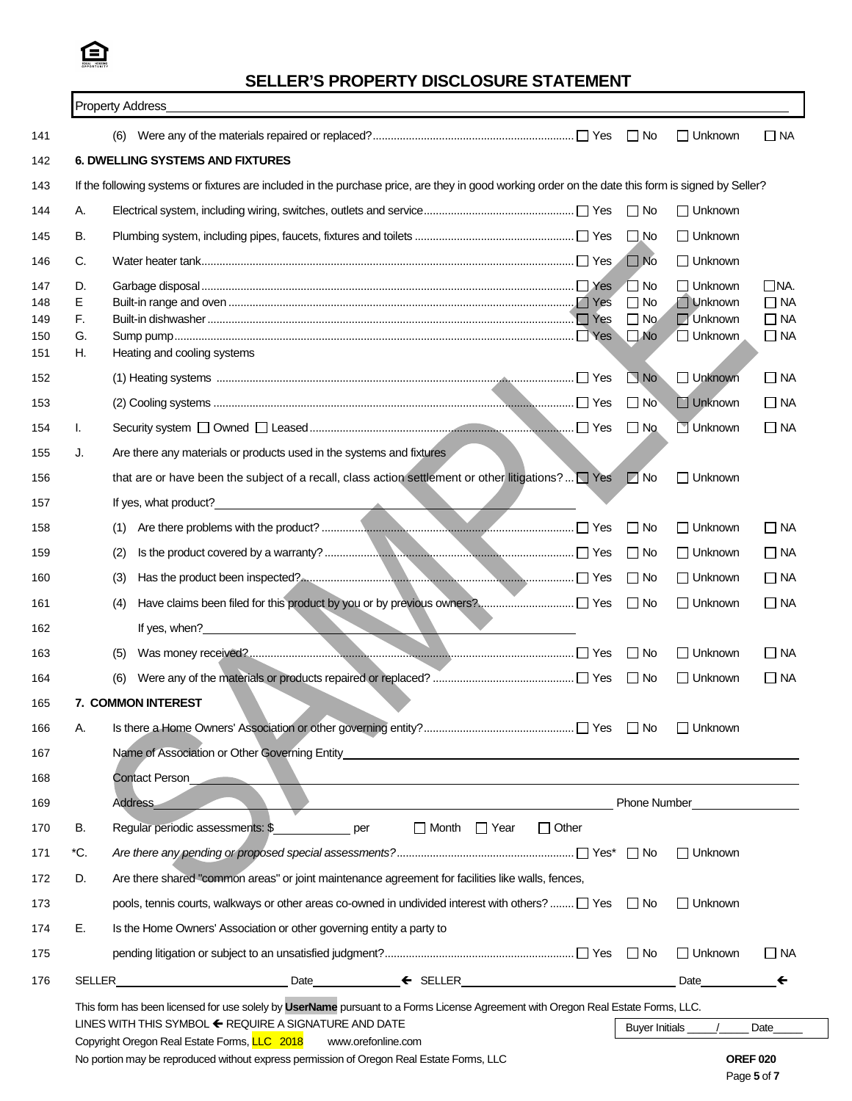

| $\Box$ No<br>$\Box$ Unknown<br>141<br>(6)<br>$\Box$ Na<br><b>6. DWELLING SYSTEMS AND FIXTURES</b><br>If the following systems or fixtures are included in the purchase price, are they in good working order on the date this form is signed by Seller?<br>$\square$ No<br>$\Box$ Unknown<br>А.<br>В.<br>$\Box$ Unknown<br>$\Box$ No<br>C.<br>$\Box$ No<br>$\Box$ Unknown<br>D.<br><b>□ Unknown</b><br>∏NA.<br>1 I No<br>Е<br>Unknown<br>$\Box$ NA<br>$\Box$ No<br>F.<br>$\Box$ Unknown<br>$\Box$ No<br>$\Box$ NA<br>$\Box$ Unknown<br>G.<br>$\Box$ No<br>$\Box$ NA<br>Н.<br>Heating and cooling systems<br>$\blacksquare$ No<br>$\Box$ Unknown<br>$\Box$ NA<br>$\Box$ Unknown<br>$\Box$ No<br>$\Box$ NA<br>Unknown<br>$\Box$ No<br>$\Box$ NA<br>I.<br>Are there any materials or products used in the systems and fixtures<br>J.<br>that are or have been the subject of a recall, class action settlement or other litigations? $\Box$ Yes<br>$\Box$ No<br>$\Box$ Unknown<br>If yes, what product?<br><u> Andreas Andreas Andreas Andreas Andreas Andreas Andreas Andreas Andreas Andreas Andreas Andreas Andreas Andreas Andreas Andreas Andreas Andreas Andreas Andreas Andreas Andreas Andreas Andreas Andreas Andreas Andreas Andr</u><br>$\Box$ Unknown<br>$\Box$ Na<br>l I No<br>(1)<br>$\Box$ Unknown<br>$\Box$ NA<br>(2)<br>l I No<br>$\Box$ Unknown<br>$\Box$ NA<br>(3)<br>l I No<br>$\Box$ No<br>$\Box$ Unknown<br>$\Box$ NA<br>(4)<br>$\blacksquare$<br>If yes, when?<br>$\Box$ Unknown<br>$\Box$ Na<br>l I No<br>(5)<br>$\Box$ No<br><b>□ Unknown</b><br>∐ NA<br>(6)<br>7. COMMON INTEREST<br>А.<br>∐ No<br> _  Unknown<br>Name of Association or Other Governing Entity Name of Association of the New York Changes and New York Changes<br><b>Contact Person</b><br><b>Phone Number Example 2014</b><br><b>Address</b><br><u> 1989 - Johann Barbara, martin amerikan basal da</u><br>□ Month □ Year<br>В.<br>Regular periodic assessments: \$<br>$\Box$ Other<br>per |
|--------------------------------------------------------------------------------------------------------------------------------------------------------------------------------------------------------------------------------------------------------------------------------------------------------------------------------------------------------------------------------------------------------------------------------------------------------------------------------------------------------------------------------------------------------------------------------------------------------------------------------------------------------------------------------------------------------------------------------------------------------------------------------------------------------------------------------------------------------------------------------------------------------------------------------------------------------------------------------------------------------------------------------------------------------------------------------------------------------------------------------------------------------------------------------------------------------------------------------------------------------------------------------------------------------------------------------------------------------------------------------------------------------------------------------------------------------------------------------------------------------------------------------------------------------------------------------------------------------------------------------------------------------------------------------------------------------------------------------------------------------------------------------------------------------------------------------------------------------------------------------------------------------------------------------------------------------------------------------------|
| 142<br>143<br>144<br>145<br>146<br>147<br>148<br>149<br>150<br>151                                                                                                                                                                                                                                                                                                                                                                                                                                                                                                                                                                                                                                                                                                                                                                                                                                                                                                                                                                                                                                                                                                                                                                                                                                                                                                                                                                                                                                                                                                                                                                                                                                                                                                                                                                                                                                                                                                                   |
|                                                                                                                                                                                                                                                                                                                                                                                                                                                                                                                                                                                                                                                                                                                                                                                                                                                                                                                                                                                                                                                                                                                                                                                                                                                                                                                                                                                                                                                                                                                                                                                                                                                                                                                                                                                                                                                                                                                                                                                      |
|                                                                                                                                                                                                                                                                                                                                                                                                                                                                                                                                                                                                                                                                                                                                                                                                                                                                                                                                                                                                                                                                                                                                                                                                                                                                                                                                                                                                                                                                                                                                                                                                                                                                                                                                                                                                                                                                                                                                                                                      |
|                                                                                                                                                                                                                                                                                                                                                                                                                                                                                                                                                                                                                                                                                                                                                                                                                                                                                                                                                                                                                                                                                                                                                                                                                                                                                                                                                                                                                                                                                                                                                                                                                                                                                                                                                                                                                                                                                                                                                                                      |
|                                                                                                                                                                                                                                                                                                                                                                                                                                                                                                                                                                                                                                                                                                                                                                                                                                                                                                                                                                                                                                                                                                                                                                                                                                                                                                                                                                                                                                                                                                                                                                                                                                                                                                                                                                                                                                                                                                                                                                                      |
|                                                                                                                                                                                                                                                                                                                                                                                                                                                                                                                                                                                                                                                                                                                                                                                                                                                                                                                                                                                                                                                                                                                                                                                                                                                                                                                                                                                                                                                                                                                                                                                                                                                                                                                                                                                                                                                                                                                                                                                      |
| 152                                                                                                                                                                                                                                                                                                                                                                                                                                                                                                                                                                                                                                                                                                                                                                                                                                                                                                                                                                                                                                                                                                                                                                                                                                                                                                                                                                                                                                                                                                                                                                                                                                                                                                                                                                                                                                                                                                                                                                                  |
| 153<br>154<br>155<br>156<br>157<br>158<br>159<br>160<br>161<br>162<br>163<br>164<br>165<br>166<br>167<br>168<br>169<br>170                                                                                                                                                                                                                                                                                                                                                                                                                                                                                                                                                                                                                                                                                                                                                                                                                                                                                                                                                                                                                                                                                                                                                                                                                                                                                                                                                                                                                                                                                                                                                                                                                                                                                                                                                                                                                                                           |
|                                                                                                                                                                                                                                                                                                                                                                                                                                                                                                                                                                                                                                                                                                                                                                                                                                                                                                                                                                                                                                                                                                                                                                                                                                                                                                                                                                                                                                                                                                                                                                                                                                                                                                                                                                                                                                                                                                                                                                                      |
|                                                                                                                                                                                                                                                                                                                                                                                                                                                                                                                                                                                                                                                                                                                                                                                                                                                                                                                                                                                                                                                                                                                                                                                                                                                                                                                                                                                                                                                                                                                                                                                                                                                                                                                                                                                                                                                                                                                                                                                      |
|                                                                                                                                                                                                                                                                                                                                                                                                                                                                                                                                                                                                                                                                                                                                                                                                                                                                                                                                                                                                                                                                                                                                                                                                                                                                                                                                                                                                                                                                                                                                                                                                                                                                                                                                                                                                                                                                                                                                                                                      |
|                                                                                                                                                                                                                                                                                                                                                                                                                                                                                                                                                                                                                                                                                                                                                                                                                                                                                                                                                                                                                                                                                                                                                                                                                                                                                                                                                                                                                                                                                                                                                                                                                                                                                                                                                                                                                                                                                                                                                                                      |
|                                                                                                                                                                                                                                                                                                                                                                                                                                                                                                                                                                                                                                                                                                                                                                                                                                                                                                                                                                                                                                                                                                                                                                                                                                                                                                                                                                                                                                                                                                                                                                                                                                                                                                                                                                                                                                                                                                                                                                                      |
|                                                                                                                                                                                                                                                                                                                                                                                                                                                                                                                                                                                                                                                                                                                                                                                                                                                                                                                                                                                                                                                                                                                                                                                                                                                                                                                                                                                                                                                                                                                                                                                                                                                                                                                                                                                                                                                                                                                                                                                      |
|                                                                                                                                                                                                                                                                                                                                                                                                                                                                                                                                                                                                                                                                                                                                                                                                                                                                                                                                                                                                                                                                                                                                                                                                                                                                                                                                                                                                                                                                                                                                                                                                                                                                                                                                                                                                                                                                                                                                                                                      |
|                                                                                                                                                                                                                                                                                                                                                                                                                                                                                                                                                                                                                                                                                                                                                                                                                                                                                                                                                                                                                                                                                                                                                                                                                                                                                                                                                                                                                                                                                                                                                                                                                                                                                                                                                                                                                                                                                                                                                                                      |
|                                                                                                                                                                                                                                                                                                                                                                                                                                                                                                                                                                                                                                                                                                                                                                                                                                                                                                                                                                                                                                                                                                                                                                                                                                                                                                                                                                                                                                                                                                                                                                                                                                                                                                                                                                                                                                                                                                                                                                                      |
|                                                                                                                                                                                                                                                                                                                                                                                                                                                                                                                                                                                                                                                                                                                                                                                                                                                                                                                                                                                                                                                                                                                                                                                                                                                                                                                                                                                                                                                                                                                                                                                                                                                                                                                                                                                                                                                                                                                                                                                      |
|                                                                                                                                                                                                                                                                                                                                                                                                                                                                                                                                                                                                                                                                                                                                                                                                                                                                                                                                                                                                                                                                                                                                                                                                                                                                                                                                                                                                                                                                                                                                                                                                                                                                                                                                                                                                                                                                                                                                                                                      |
|                                                                                                                                                                                                                                                                                                                                                                                                                                                                                                                                                                                                                                                                                                                                                                                                                                                                                                                                                                                                                                                                                                                                                                                                                                                                                                                                                                                                                                                                                                                                                                                                                                                                                                                                                                                                                                                                                                                                                                                      |
|                                                                                                                                                                                                                                                                                                                                                                                                                                                                                                                                                                                                                                                                                                                                                                                                                                                                                                                                                                                                                                                                                                                                                                                                                                                                                                                                                                                                                                                                                                                                                                                                                                                                                                                                                                                                                                                                                                                                                                                      |
|                                                                                                                                                                                                                                                                                                                                                                                                                                                                                                                                                                                                                                                                                                                                                                                                                                                                                                                                                                                                                                                                                                                                                                                                                                                                                                                                                                                                                                                                                                                                                                                                                                                                                                                                                                                                                                                                                                                                                                                      |
|                                                                                                                                                                                                                                                                                                                                                                                                                                                                                                                                                                                                                                                                                                                                                                                                                                                                                                                                                                                                                                                                                                                                                                                                                                                                                                                                                                                                                                                                                                                                                                                                                                                                                                                                                                                                                                                                                                                                                                                      |
|                                                                                                                                                                                                                                                                                                                                                                                                                                                                                                                                                                                                                                                                                                                                                                                                                                                                                                                                                                                                                                                                                                                                                                                                                                                                                                                                                                                                                                                                                                                                                                                                                                                                                                                                                                                                                                                                                                                                                                                      |
|                                                                                                                                                                                                                                                                                                                                                                                                                                                                                                                                                                                                                                                                                                                                                                                                                                                                                                                                                                                                                                                                                                                                                                                                                                                                                                                                                                                                                                                                                                                                                                                                                                                                                                                                                                                                                                                                                                                                                                                      |
|                                                                                                                                                                                                                                                                                                                                                                                                                                                                                                                                                                                                                                                                                                                                                                                                                                                                                                                                                                                                                                                                                                                                                                                                                                                                                                                                                                                                                                                                                                                                                                                                                                                                                                                                                                                                                                                                                                                                                                                      |
| $\Box$ Unknown<br>*C.                                                                                                                                                                                                                                                                                                                                                                                                                                                                                                                                                                                                                                                                                                                                                                                                                                                                                                                                                                                                                                                                                                                                                                                                                                                                                                                                                                                                                                                                                                                                                                                                                                                                                                                                                                                                                                                                                                                                                                |
| Are there shared "common areas" or joint maintenance agreement for facilities like walls, fences,<br>D.<br>172                                                                                                                                                                                                                                                                                                                                                                                                                                                                                                                                                                                                                                                                                                                                                                                                                                                                                                                                                                                                                                                                                                                                                                                                                                                                                                                                                                                                                                                                                                                                                                                                                                                                                                                                                                                                                                                                       |
| pools, tennis courts, walkways or other areas co-owned in undivided interest with others?  T Yes<br>$\Box$ No<br>$\Box$ Unknown                                                                                                                                                                                                                                                                                                                                                                                                                                                                                                                                                                                                                                                                                                                                                                                                                                                                                                                                                                                                                                                                                                                                                                                                                                                                                                                                                                                                                                                                                                                                                                                                                                                                                                                                                                                                                                                      |
| Е.<br>Is the Home Owners' Association or other governing entity a party to                                                                                                                                                                                                                                                                                                                                                                                                                                                                                                                                                                                                                                                                                                                                                                                                                                                                                                                                                                                                                                                                                                                                                                                                                                                                                                                                                                                                                                                                                                                                                                                                                                                                                                                                                                                                                                                                                                           |
| $\Box$ Unknown<br>$\Box$ NA                                                                                                                                                                                                                                                                                                                                                                                                                                                                                                                                                                                                                                                                                                                                                                                                                                                                                                                                                                                                                                                                                                                                                                                                                                                                                                                                                                                                                                                                                                                                                                                                                                                                                                                                                                                                                                                                                                                                                          |
| Date<br>$\leftarrow$                                                                                                                                                                                                                                                                                                                                                                                                                                                                                                                                                                                                                                                                                                                                                                                                                                                                                                                                                                                                                                                                                                                                                                                                                                                                                                                                                                                                                                                                                                                                                                                                                                                                                                                                                                                                                                                                                                                                                                 |
| This form has been licensed for use solely by UserName pursuant to a Forms License Agreement with Oregon Real Estate Forms, LLC.                                                                                                                                                                                                                                                                                                                                                                                                                                                                                                                                                                                                                                                                                                                                                                                                                                                                                                                                                                                                                                                                                                                                                                                                                                                                                                                                                                                                                                                                                                                                                                                                                                                                                                                                                                                                                                                     |
| LINES WITH THIS SYMBOL ← REQUIRE A SIGNATURE AND DATE<br>Buyer Initials<br>Date                                                                                                                                                                                                                                                                                                                                                                                                                                                                                                                                                                                                                                                                                                                                                                                                                                                                                                                                                                                                                                                                                                                                                                                                                                                                                                                                                                                                                                                                                                                                                                                                                                                                                                                                                                                                                                                                                                      |
| Copyright Oregon Real Estate Forms, LLC 2018<br>www.orefonline.com<br>No portion may be reproduced without express permission of Oregon Real Estate Forms, LLC<br><b>OREF 020</b>                                                                                                                                                                                                                                                                                                                                                                                                                                                                                                                                                                                                                                                                                                                                                                                                                                                                                                                                                                                                                                                                                                                                                                                                                                                                                                                                                                                                                                                                                                                                                                                                                                                                                                                                                                                                    |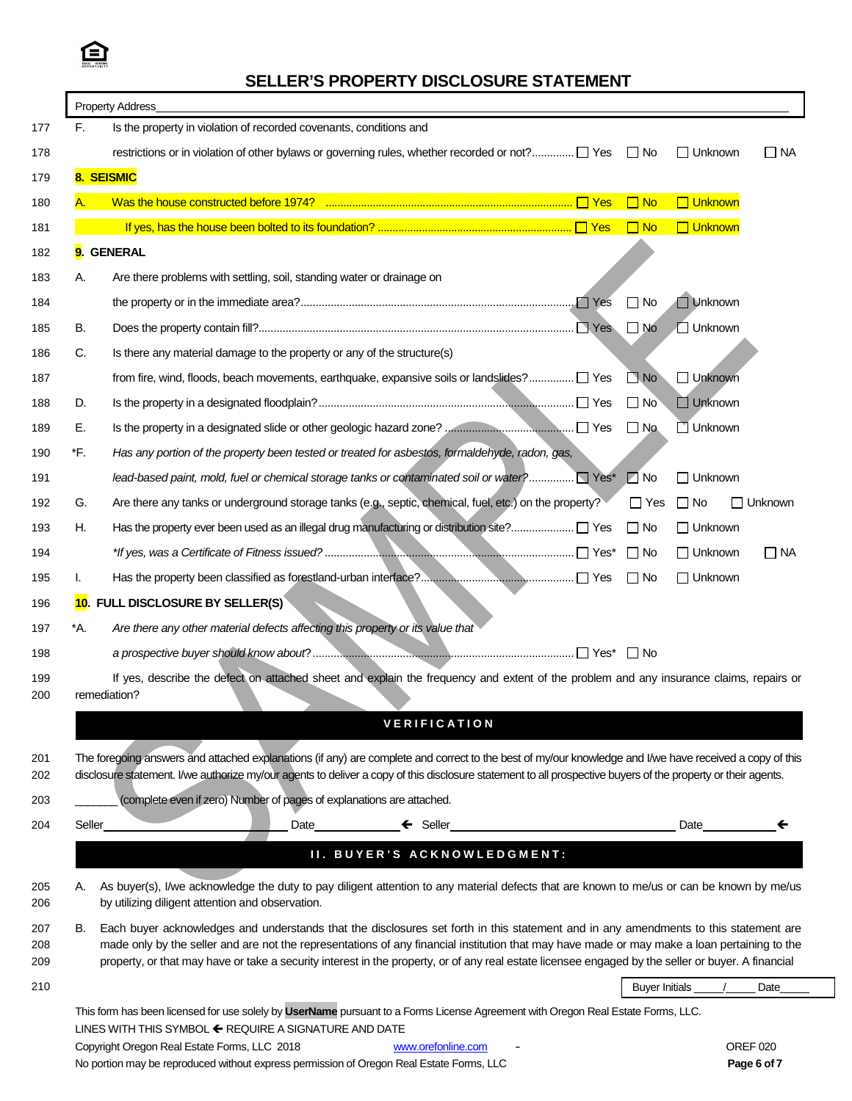

I

# **SELLER'S PROPERTY DISCLOSURE STATEMENT**

| F.     | <b>Property Address</b><br>Is the property in violation of recorded covenants, conditions and                                                                                                                                                                                                                                                                                                                                              |            |                |           |
|--------|--------------------------------------------------------------------------------------------------------------------------------------------------------------------------------------------------------------------------------------------------------------------------------------------------------------------------------------------------------------------------------------------------------------------------------------------|------------|----------------|-----------|
|        | restrictions or in violation of other bylaws or governing rules, whether recorded or not? [ Yes                                                                                                                                                                                                                                                                                                                                            | $\Box$ No  | $\Box$ Unknown | $\Box$ Na |
|        | 8. SEISMIC                                                                                                                                                                                                                                                                                                                                                                                                                                 |            |                |           |
|        |                                                                                                                                                                                                                                                                                                                                                                                                                                            | $\Box$ No  | <b>Unknown</b> |           |
|        |                                                                                                                                                                                                                                                                                                                                                                                                                                            | $\Box$ No  | <b>Unknown</b> |           |
|        | 9. GENERAL                                                                                                                                                                                                                                                                                                                                                                                                                                 |            |                |           |
| А.     | Are there problems with settling, soil, standing water or drainage on                                                                                                                                                                                                                                                                                                                                                                      |            |                |           |
|        |                                                                                                                                                                                                                                                                                                                                                                                                                                            | $\Box$ No  | Unknown        |           |
| В.     |                                                                                                                                                                                                                                                                                                                                                                                                                                            | $\Box$ No  | ∐ Unknown      |           |
| C.     | Is there any material damage to the property or any of the structure(s)                                                                                                                                                                                                                                                                                                                                                                    |            |                |           |
|        | from fire, wind, floods, beach movements, earthquake, expansive soils or landslides? \rg                                                                                                                                                                                                                                                                                                                                                   | $\n  No\n$ | □ Unknown      |           |
| D.     |                                                                                                                                                                                                                                                                                                                                                                                                                                            | $\Box$ No  | Unknown        |           |
| Е.     |                                                                                                                                                                                                                                                                                                                                                                                                                                            | $\Box$ No. | $\Box$ Unknown |           |
| *F.    | Has any portion of the property been tested or treated for asbestos, formaldehyde, radon, gas,                                                                                                                                                                                                                                                                                                                                             |            |                |           |
|        | lead-based paint, mold, fuel or chemical storage tanks or contaminated soil or water? Yes* □ No                                                                                                                                                                                                                                                                                                                                            |            | $\Box$ Unknown |           |
| G.     | Are there any tanks or underground storage tanks (e.g., septic, chemical, fuel, etc.) on the property?                                                                                                                                                                                                                                                                                                                                     | $\Box$ Yes | $\Box$ No      | ∏ Unknown |
| Н.     |                                                                                                                                                                                                                                                                                                                                                                                                                                            | $\Box$ No  | $\Box$ Unknown |           |
|        |                                                                                                                                                                                                                                                                                                                                                                                                                                            | $\Box$ No  | $\Box$ Unknown | $\Box$ NA |
| L.     |                                                                                                                                                                                                                                                                                                                                                                                                                                            | $\Box$ No  | $\Box$ Unknown |           |
|        | 10. FULL DISCLOSURE BY SELLER(S)                                                                                                                                                                                                                                                                                                                                                                                                           |            |                |           |
| *A.    | Are there any other material defects affecting this property or its value that                                                                                                                                                                                                                                                                                                                                                             |            |                |           |
|        |                                                                                                                                                                                                                                                                                                                                                                                                                                            | ∣ I No     |                |           |
|        | If yes, describe the defect on attached sheet and explain the frequency and extent of the problem and any insurance claims, repairs or<br>remediation?<br>VERIFICATION                                                                                                                                                                                                                                                                     |            |                |           |
|        | The foregoing answers and attached explanations (if any) are complete and correct to the best of my/our knowledge and I/we have received a copy of this<br>disclosure statement. I/we authorize my/our agents to deliver a copy of this disclosure statement to all prospective buyers of the property or their agents.                                                                                                                    |            |                |           |
|        | (complete even if zero) Number of pages of explanations are attached.                                                                                                                                                                                                                                                                                                                                                                      |            |                |           |
| Seller | Date                                                                                                                                                                                                                                                                                                                                                                                                                                       |            |                | ←         |
|        | <b>II. BUYER'S ACKNOWLEDGMENT:</b>                                                                                                                                                                                                                                                                                                                                                                                                         |            |                |           |
| А.     | As buyer(s), I/we acknowledge the duty to pay diligent attention to any material defects that are known to me/us or can be known by me/us<br>by utilizing diligent attention and observation.                                                                                                                                                                                                                                              |            |                |           |
| В.     | Each buyer acknowledges and understands that the disclosures set forth in this statement and in any amendments to this statement are<br>made only by the seller and are not the representations of any financial institution that may have made or may make a loan pertaining to the<br>property, or that may have or take a security interest in the property, or of any real estate licensee engaged by the seller or buyer. A financial |            |                |           |
|        |                                                                                                                                                                                                                                                                                                                                                                                                                                            |            |                | Date      |
|        |                                                                                                                                                                                                                                                                                                                                                                                                                                            |            |                |           |